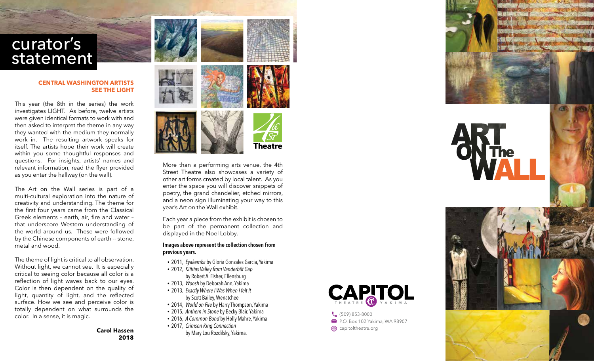

## **CENTRAL WASHING TON ARTISTS SEE THE LIGHT**

This year (the 8th in the series) the work investigates LIGHT. As before, twelve artists were given identical formats to work with and then asked to interpret the theme in any way they wanted with the medium they normally work in. The resulting artwork speaks for itself. The artists hope their work will create within you some thoughtful responses and questions. For insights, artists' names and relevant information, read the flyer provided as you enter the hallway (on the wall).

The Art on the Wall series is part of a multi-cultural exploration into the nature of creativity and understanding. The theme for the first four years came from the Classical Greek elements – earth, air, fire and water – that underscore Western understanding of the world around us. These were followed by the Chinese components of earth -- stone, metal and wood.

The theme of light is critical to all observation. Without light, we cannot see. It is especially critical to seeing color because all color is a reflection of light waves back to our eyes. Color is then dependent on the quality of light, quantity of light, and the reflected surface. How we see and perceive color is totally dependent on what surrounds the color. In a sense, it is magic.

> **Carol Hassen 2018**





More than a performing arts venue, the 4th Street Theatre also showcases a variety of other art forms created by local talent. As you enter the space you will discover snippets of poetry, the grand chandelier, etched mirrors, and a neon sign illuminating your way to this year's Art on the Wall exhibit.

Each year a piece from the exhibit is chosen to be part of the permanent collection and displayed in the Noel Lobby.

## Images above represent the collection chosen from previous years.

- 2011, Eyakemka by Gloria Gonzales Garcia, Yakima
- 2012, Kittitas Valley from Vanderbilt Gap by Robert A. Fisher, Ellensbur g
- 2013, Woosh by Deborah Ann, Yakima
- 2013, Exactly Where I Was When I felt It by Scott Bailey, Wenatchee
- 2014, World on Fire by Harry Thompson, Yakima
- 2015, Anthem in Stone by Becky Blair, Yakima
- 2016, A Common Bond by Holly Mahre, Yakima
- 2017, Crimson King Connection by Mary Lou Rozdilsky, Yakima .



C<sub>(509)</sub> 853-8000 P.O. Box 102 Yakima, WA 98907 **capitoltheatre.org**